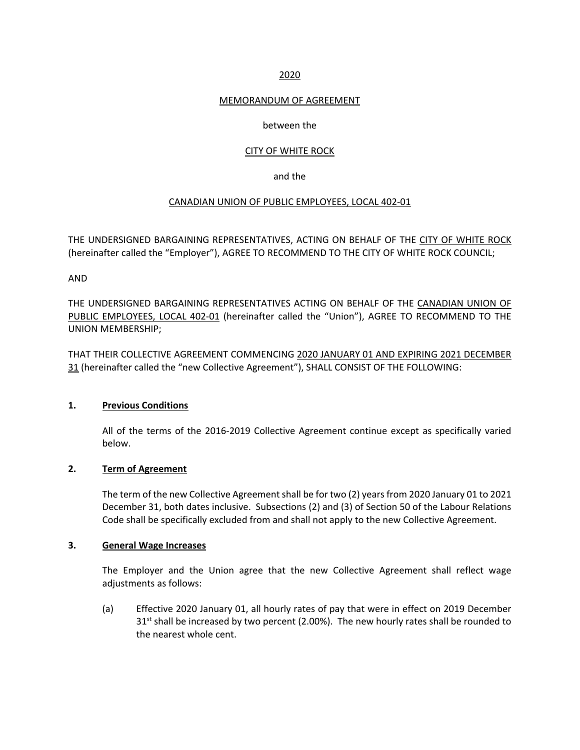## 2020

#### MEMORANDUM OF AGREEMENT

#### between the

### CITY OF WHITE ROCK

#### and the

#### CANADIAN UNION OF PUBLIC EMPLOYEES, LOCAL 402‐01

THE UNDERSIGNED BARGAINING REPRESENTATIVES, ACTING ON BEHALF OF THE CITY OF WHITE ROCK (hereinafter called the "Employer"), AGREE TO RECOMMEND TO THE CITY OF WHITE ROCK COUNCIL;

AND

THE UNDERSIGNED BARGAINING REPRESENTATIVES ACTING ON BEHALF OF THE CANADIAN UNION OF PUBLIC EMPLOYEES, LOCAL 402-01 (hereinafter called the "Union"), AGREE TO RECOMMEND TO THE UNION MEMBERSHIP;

THAT THEIR COLLECTIVE AGREEMENT COMMENCING 2020 JANUARY 01 AND EXPIRING 2021 DECEMBER 31 (hereinafter called the "new Collective Agreement"), SHALL CONSIST OF THE FOLLOWING:

#### **1. Previous Conditions**

All of the terms of the 2016‐2019 Collective Agreement continue except as specifically varied below.

# **2. Term of Agreement**

The term of the new Collective Agreement shall be for two (2) years from 2020 January 01 to 2021 December 31, both dates inclusive. Subsections (2) and (3) of Section 50 of the Labour Relations Code shall be specifically excluded from and shall not apply to the new Collective Agreement.

#### **3. General Wage Increases**

The Employer and the Union agree that the new Collective Agreement shall reflect wage adjustments as follows:

(a) Effective 2020 January 01, all hourly rates of pay that were in effect on 2019 December  $31<sup>st</sup>$  shall be increased by two percent (2.00%). The new hourly rates shall be rounded to the nearest whole cent.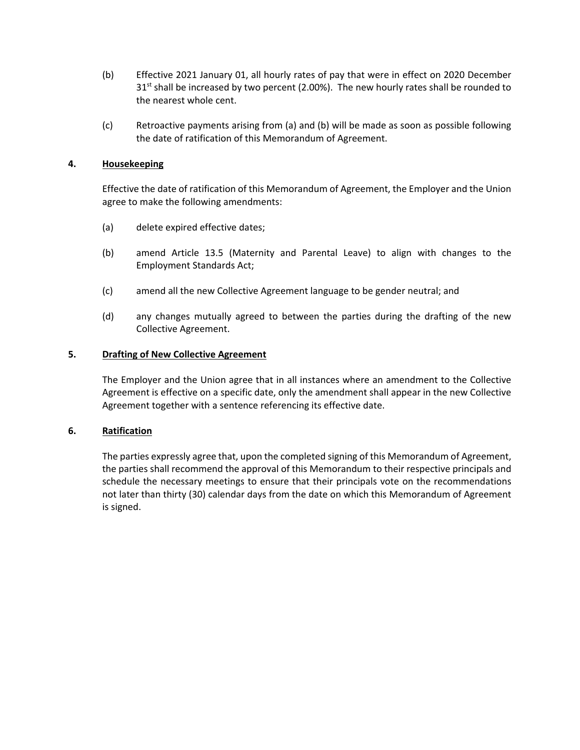- (b) Effective 2021 January 01, all hourly rates of pay that were in effect on 2020 December  $31<sup>st</sup>$  shall be increased by two percent (2.00%). The new hourly rates shall be rounded to the nearest whole cent.
- (c) Retroactive payments arising from (a) and (b) will be made as soon as possible following the date of ratification of this Memorandum of Agreement.

## **4. Housekeeping**

Effective the date of ratification of this Memorandum of Agreement, the Employer and the Union agree to make the following amendments:

- (a) delete expired effective dates;
- (b) amend Article 13.5 (Maternity and Parental Leave) to align with changes to the Employment Standards Act;
- (c) amend all the new Collective Agreement language to be gender neutral; and
- (d) any changes mutually agreed to between the parties during the drafting of the new Collective Agreement.

#### **5. Drafting of New Collective Agreement**

The Employer and the Union agree that in all instances where an amendment to the Collective Agreement is effective on a specific date, only the amendment shall appear in the new Collective Agreement together with a sentence referencing its effective date.

#### **6. Ratification**

The parties expressly agree that, upon the completed signing of this Memorandum of Agreement, the parties shall recommend the approval of this Memorandum to their respective principals and schedule the necessary meetings to ensure that their principals vote on the recommendations not later than thirty (30) calendar days from the date on which this Memorandum of Agreement is signed.